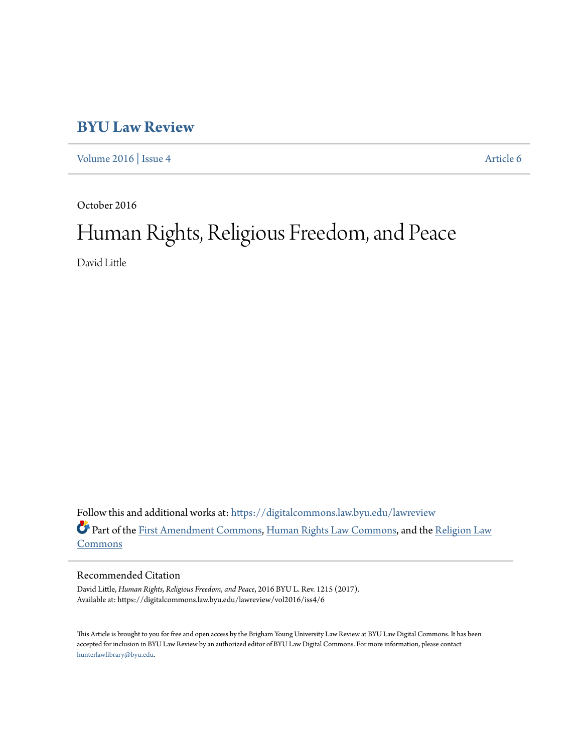## **[BYU Law Review](https://digitalcommons.law.byu.edu/lawreview?utm_source=digitalcommons.law.byu.edu%2Flawreview%2Fvol2016%2Fiss4%2F6&utm_medium=PDF&utm_campaign=PDFCoverPages)**

[Volume 2016](https://digitalcommons.law.byu.edu/lawreview/vol2016?utm_source=digitalcommons.law.byu.edu%2Flawreview%2Fvol2016%2Fiss4%2F6&utm_medium=PDF&utm_campaign=PDFCoverPages) | [Issue 4](https://digitalcommons.law.byu.edu/lawreview/vol2016/iss4?utm_source=digitalcommons.law.byu.edu%2Flawreview%2Fvol2016%2Fiss4%2F6&utm_medium=PDF&utm_campaign=PDFCoverPages) [Article 6](https://digitalcommons.law.byu.edu/lawreview/vol2016/iss4/6?utm_source=digitalcommons.law.byu.edu%2Flawreview%2Fvol2016%2Fiss4%2F6&utm_medium=PDF&utm_campaign=PDFCoverPages)

October 2016

# Human Rights, Religious Freedom, and Peace

David Little

Follow this and additional works at: [https://digitalcommons.law.byu.edu/lawreview](https://digitalcommons.law.byu.edu/lawreview?utm_source=digitalcommons.law.byu.edu%2Flawreview%2Fvol2016%2Fiss4%2F6&utm_medium=PDF&utm_campaign=PDFCoverPages) Part of the [First Amendment Commons,](http://network.bepress.com/hgg/discipline/1115?utm_source=digitalcommons.law.byu.edu%2Flawreview%2Fvol2016%2Fiss4%2F6&utm_medium=PDF&utm_campaign=PDFCoverPages) [Human Rights Law Commons](http://network.bepress.com/hgg/discipline/847?utm_source=digitalcommons.law.byu.edu%2Flawreview%2Fvol2016%2Fiss4%2F6&utm_medium=PDF&utm_campaign=PDFCoverPages), and the [Religion Law](http://network.bepress.com/hgg/discipline/872?utm_source=digitalcommons.law.byu.edu%2Flawreview%2Fvol2016%2Fiss4%2F6&utm_medium=PDF&utm_campaign=PDFCoverPages) [Commons](http://network.bepress.com/hgg/discipline/872?utm_source=digitalcommons.law.byu.edu%2Flawreview%2Fvol2016%2Fiss4%2F6&utm_medium=PDF&utm_campaign=PDFCoverPages)

#### Recommended Citation

David Little, *Human Rights, Religious Freedom, and Peace*, 2016 BYU L. Rev. 1215 (2017). Available at: https://digitalcommons.law.byu.edu/lawreview/vol2016/iss4/6

This Article is brought to you for free and open access by the Brigham Young University Law Review at BYU Law Digital Commons. It has been accepted for inclusion in BYU Law Review by an authorized editor of BYU Law Digital Commons. For more information, please contact [hunterlawlibrary@byu.edu.](mailto:hunterlawlibrary@byu.edu)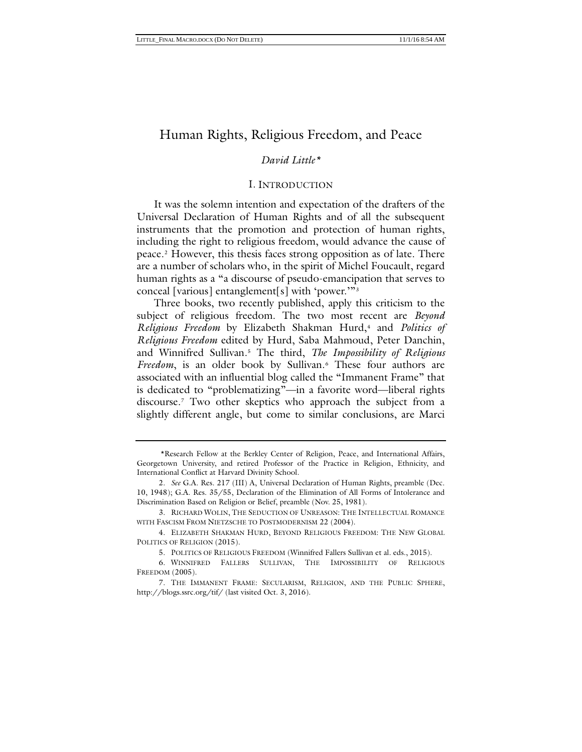#### *David Little\*[1](#page-1-0)*

#### <span id="page-1-9"></span><span id="page-1-7"></span>I. INTRODUCTION

<span id="page-1-8"></span>It was the solemn intention and expectation of the drafters of the Universal Declaration of Human Rights and of all the subsequent instruments that the promotion and protection of human rights, including the right to religious freedom, would advance the cause of peace.[2](#page-1-1) However, this thesis faces strong opposition as of late. There are a number of scholars who, in the spirit of Michel Foucault, regard human rights as a "a discourse of pseudo-emancipation that serves to conceal [various] entanglement[s] with 'power.'"[3](#page-1-2)

Three books, two recently published, apply this criticism to the subject of religious freedom. The two most recent are *Beyond Religious Freedom* by Elizabeth Shakman Hurd,[4](#page-1-3) and *Politics of Religious Freedom* edited by Hurd, Saba Mahmoud, Peter Danchin, and Winnifred Sullivan.[5](#page-1-4) The third, *The Impossibility of Religious Freedom*, is an older book by Sullivan.<sup>[6](#page-1-5)</sup> These four authors are associated with an influential blog called the "Immanent Frame" that is dedicated to "problematizing"—in a favorite word—liberal rights discourse.[7](#page-1-6) Two other skeptics who approach the subject from a slightly different angle, but come to similar conclusions, are Marci

<span id="page-1-0"></span><sup>\*</sup>Research Fellow at the Berkley Center of Religion, Peace, and International Affairs, Georgetown University, and retired Professor of the Practice in Religion, Ethnicity, and International Conflict at Harvard Divinity School.

<span id="page-1-1"></span><sup>2.</sup> *See* G.A. Res. 217 (III) A, Universal Declaration of Human Rights, preamble (Dec. 10, 1948); G.A. Res. 35/55, Declaration of the Elimination of All Forms of Intolerance and Discrimination Based on Religion or Belief, preamble (Nov. 25, 1981).

<span id="page-1-2"></span><sup>3.</sup> RICHARD WOLIN, THE SEDUCTION OF UNREASON: THE INTELLECTUAL ROMANCE WITH FASCISM FROM NIETZSCHE TO POSTMODERNISM 22 (2004).

<span id="page-1-3"></span><sup>4.</sup> ELIZABETH SHAKMAN HURD, BEYOND RELIGIOUS FREEDOM: THE NEW GLOBAL POLITICS OF RELIGION (2015).

<sup>5.</sup> POLITICS OF RELIGIOUS FREEDOM (Winnifred Fallers Sullivan et al. eds., 2015).

<span id="page-1-5"></span><span id="page-1-4"></span><sup>6.</sup> WINNIFRED FALLERS SULLIVAN, THE IMPOSSIBILITY OF RELIGIOUS FREEDOM (2005).

<span id="page-1-6"></span><sup>7.</sup> THE IMMANENT FRAME: SECULARISM, RELIGION, AND THE PUBLIC SPHERE, http://blogs.ssrc.org/tif/ (last visited Oct. 3, 2016).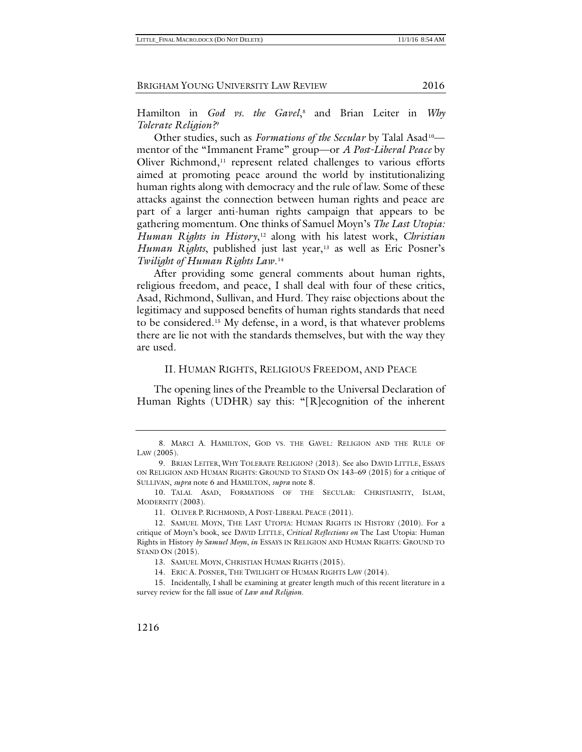<span id="page-2-10"></span><span id="page-2-0"></span>

<span id="page-2-9"></span>Hamilton in *God vs. the Gavel*[,8](#page-2-1) and Brian Leiter in *Why Tolerate Religion?*[9](#page-2-2)

<span id="page-2-11"></span>Other studies, such as *Formations of the Secular* by Talal Asad<sup>10</sup> mentor of the "Immanent Frame" group—or *A Post-Liberal Peace* by Oliver Richmond, $11$  represent related challenges to various efforts aimed at promoting peace around the world by institutionalizing human rights along with democracy and the rule of law. Some of these attacks against the connection between human rights and peace are part of a larger anti-human rights campaign that appears to be gathering momentum. One thinks of Samuel Moyn's *The Last Utopia: Human Rights in History*,[12](#page-2-5) along with his latest work, *Christian Human Rights*, published just last year,<sup>[13](#page-2-6)</sup> as well as Eric Posner's *Twilight of Human Rights Law*.[14](#page-2-7)

After providing some general comments about human rights, religious freedom, and peace, I shall deal with four of these critics, Asad, Richmond, Sullivan, and Hurd. They raise objections about the legitimacy and supposed benefits of human rights standards that need to be considered.[15](#page-2-8) My defense, in a word, is that whatever problems there are lie not with the standards themselves, but with the way they are used.

#### II. HUMAN RIGHTS, RELIGIOUS FREEDOM, AND PEACE

The opening lines of the Preamble to the Universal Declaration of Human Rights (UDHR) say this: "[R]ecognition of the inherent

14. ERIC A. POSNER, THE TWILIGHT OF HUMAN RIGHTS LAW (2014).

<span id="page-2-1"></span><sup>8.</sup> MARCI A. HAMILTON, GOD VS. THE GAVEL: RELIGION AND THE RULE OF LAW (2005).

<span id="page-2-2"></span><sup>9.</sup> BRIAN LEITER, WHY TOLERATE RELIGION? (2013). See also DAVID LITTLE, ESSAYS ON RELIGION AND HUMAN RIGHTS: GROUND TO STAND ON 143–69 (2015) for a critique of SULLIVAN, *supra* note [6](#page-1-7) and HAMILTON, *supra* note [8.](#page-2-0)

<span id="page-2-3"></span><sup>10.</sup> TALAL ASAD, FORMATIONS OF THE SECULAR: CHRISTIANITY, ISLAM, MODERNITY (2003).

<sup>11.</sup> OLIVER P. RICHMOND, A POST-LIBERAL PEACE (2011).

<span id="page-2-5"></span><span id="page-2-4"></span><sup>12.</sup> SAMUEL MOYN, THE LAST UTOPIA: HUMAN RIGHTS IN HISTORY (2010). For a critique of Moyn's book, see DAVID LITTLE, *Critical Reflections on* The Last Utopia: Human Rights in History *by Samuel Moyn*, *in* ESSAYS IN RELIGION AND HUMAN RIGHTS: GROUND TO STAND ON (2015).

<sup>13.</sup> SAMUEL MOYN, CHRISTIAN HUMAN RIGHTS (2015).

<span id="page-2-8"></span><span id="page-2-7"></span><span id="page-2-6"></span><sup>15.</sup> Incidentally, I shall be examining at greater length much of this recent literature in a survey review for the fall issue of *Law and Religion*.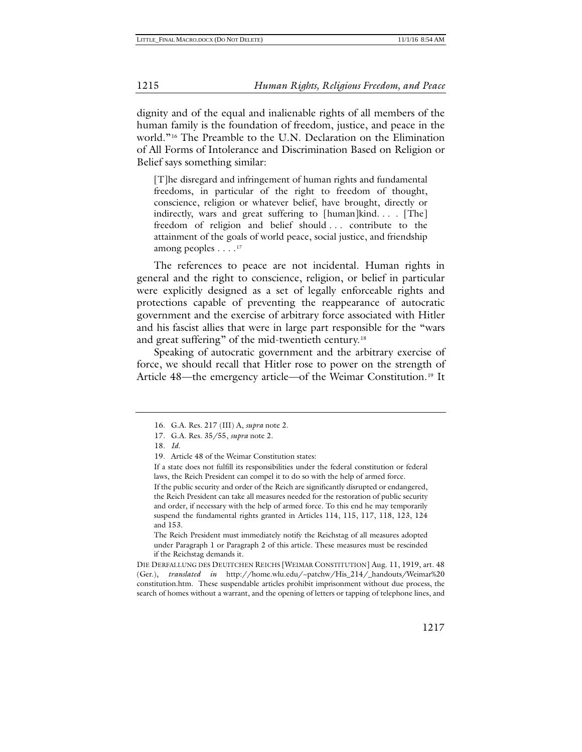dignity and of the equal and inalienable rights of all members of the human family is the foundation of freedom, justice, and peace in the world."[16](#page-3-0) The Preamble to the U.N. Declaration on the Elimination of All Forms of Intolerance and Discrimination Based on Religion or Belief says something similar:

[T]he disregard and infringement of human rights and fundamental freedoms, in particular of the right to freedom of thought, conscience, religion or whatever belief, have brought, directly or indirectly, wars and great suffering to [human]kind. . . . [The] freedom of religion and belief should . . . contribute to the attainment of the goals of world peace, social justice, and friendship among peoples  $\dots$ .<sup>[17](#page-3-1)</sup>

The references to peace are not incidental. Human rights in general and the right to conscience, religion, or belief in particular were explicitly designed as a set of legally enforceable rights and protections capable of preventing the reappearance of autocratic government and the exercise of arbitrary force associated with Hitler and his fascist allies that were in large part responsible for the "wars and great suffering" of the mid-twentieth century.<sup>[18](#page-3-2)</sup>

Speaking of autocratic government and the arbitrary exercise of force, we should recall that Hitler rose to power on the strength of Article 48—the emergency article—of the Weimar Constitution.<sup>[19](#page-3-3)</sup> It

The Reich President must immediately notify the Reichstag of all measures adopted under Paragraph 1 or Paragraph 2 of this article. These measures must be rescinded if the Reichstag demands it.

DIE DERFALLUNG DES DEUITCHEN REICHS [WEIMAR CONSTITUTION] Aug. 11, 1919, art. 48 (Ger.), *translated in* http://home.wlu.edu/~patchw/His\_214/\_handouts/Weimar%20 constitution.htm. These suspendable articles prohibit imprisonment without due process, the search of homes without a warrant, and the opening of letters or tapping of telephone lines, and

<sup>16.</sup> G.A. Res. 217 (III) A, *supra* note [2.](#page-1-8)

<span id="page-3-1"></span><span id="page-3-0"></span><sup>17.</sup> G.A. Res. 35/55, *supra* note [2.](#page-1-8)

<span id="page-3-2"></span><sup>18.</sup> *Id.*

<sup>19.</sup> Article 48 of the Weimar Constitution states:

<span id="page-3-3"></span>If a state does not fulfill its responsibilities under the federal constitution or federal laws, the Reich President can compel it to do so with the help of armed force. If the public security and order of the Reich are significantly disrupted or endangered, the Reich President can take all measures needed for the restoration of public security and order, if necessary with the help of armed force. To this end he may temporarily suspend the fundamental rights granted in Articles 114, 115, 117, 118, 123, 124 and 153.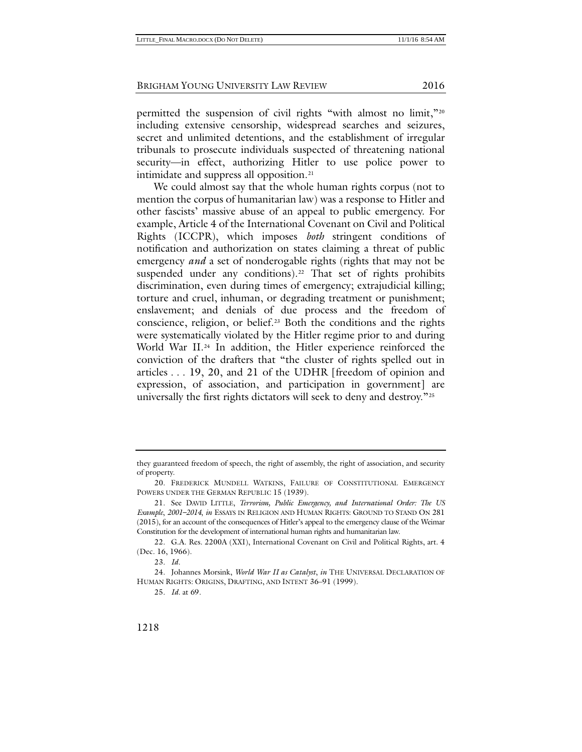permitted the suspension of civil rights "with almost no limit,"[20](#page-4-0) including extensive censorship, widespread searches and seizures, secret and unlimited detentions, and the establishment of irregular tribunals to prosecute individuals suspected of threatening national security—in effect, authorizing Hitler to use police power to intimidate and suppress all opposition.<sup>[21](#page-4-1)</sup>

<span id="page-4-6"></span>We could almost say that the whole human rights corpus (not to mention the corpus of humanitarian law) was a response to Hitler and other fascists' massive abuse of an appeal to public emergency. For example, Article 4 of the International Covenant on Civil and Political Rights (ICCPR), which imposes *both* stringent conditions of notification and authorization on states claiming a threat of public emergency *and* a set of nonderogable rights (rights that may not be suspended under any conditions).<sup>[22](#page-4-2)</sup> That set of rights prohibits discrimination, even during times of emergency; extrajudicial killing; torture and cruel, inhuman, or degrading treatment or punishment; enslavement; and denials of due process and the freedom of conscience, religion, or belief.[23](#page-4-3) Both the conditions and the rights were systematically violated by the Hitler regime prior to and during World War II.<sup>[24](#page-4-4)</sup> In addition, the Hitler experience reinforced the conviction of the drafters that "the cluster of rights spelled out in articles . . . 19, 20, and 21 of the UDHR [freedom of opinion and expression, of association, and participation in government] are universally the first rights dictators will seek to deny and destroy."[25](#page-4-5)

they guaranteed freedom of speech, the right of assembly, the right of association, and security of property.

<span id="page-4-0"></span><sup>20.</sup> FREDERICK MUNDELL WATKINS, FAILURE OF CONSTITUTIONAL EMERGENCY POWERS UNDER THE GERMAN REPUBLIC 15 (1939).

<span id="page-4-1"></span><sup>21.</sup> See DAVID LITTLE, *Terrorism, Public Emergency, and International Order: The US Example*, *2001–2014*, *in* ESSAYS IN RELIGION AND HUMAN RIGHTS: GROUND TO STAND ON 281 (2015), for an account of the consequences of Hitler's appeal to the emergency clause of the Weimar Constitution for the development of international human rights and humanitarian law.

<span id="page-4-2"></span><sup>22.</sup> G.A. Res. 2200A (XXI), International Covenant on Civil and Political Rights, art. 4 (Dec. 16, 1966).

<sup>23.</sup> *Id.*

<span id="page-4-5"></span><span id="page-4-4"></span><span id="page-4-3"></span><sup>24.</sup> Johannes Morsink, *World War II as Catalyst*, *in* THE UNIVERSAL DECLARATION OF HUMAN RIGHTS: ORIGINS, DRAFTING, AND INTENT 36–91 (1999).

<sup>25.</sup> *Id.* at 69.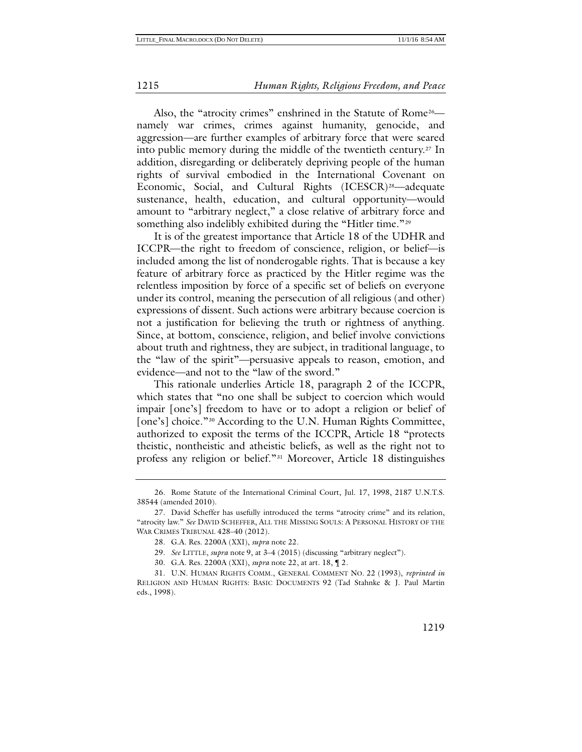Also, the "atrocity crimes" enshrined in the Statute of Rome<sup>[26](#page-5-0)</sup> namely war crimes, crimes against humanity, genocide, and aggression—are further examples of arbitrary force that were seared into public memory during the middle of the twentieth century.[27](#page-5-1) In addition, disregarding or deliberately depriving people of the human rights of survival embodied in the International Covenant on Economic, Social, and Cultural Rights (ICESCR)<sup>[28](#page-5-2)</sup>—adequate sustenance, health, education, and cultural opportunity—would amount to "arbitrary neglect," a close relative of arbitrary force and something also indelibly exhibited during the "Hitler time."<sup>[29](#page-5-3)</sup>

It is of the greatest importance that Article 18 of the UDHR and ICCPR—the right to freedom of conscience, religion, or belief—is included among the list of nonderogable rights. That is because a key feature of arbitrary force as practiced by the Hitler regime was the relentless imposition by force of a specific set of beliefs on everyone under its control, meaning the persecution of all religious (and other) expressions of dissent. Such actions were arbitrary because coercion is not a justification for believing the truth or rightness of anything. Since, at bottom, conscience, religion, and belief involve convictions about truth and rightness, they are subject, in traditional language, to the "law of the spirit"—persuasive appeals to reason, emotion, and evidence—and not to the "law of the sword."

This rationale underlies Article 18, paragraph 2 of the ICCPR, which states that "no one shall be subject to coercion which would impair [one's] freedom to have or to adopt a religion or belief of [one's] choice."<sup>[30](#page-5-4)</sup> According to the U.N. Human Rights Committee, authorized to exposit the terms of the ICCPR, Article 18 "protects theistic, nontheistic and atheistic beliefs, as well as the right not to profess any religion or belief.["31](#page-5-5) Moreover, Article 18 distinguishes

<span id="page-5-6"></span><span id="page-5-0"></span><sup>26.</sup> Rome Statute of the International Criminal Court, Jul. 17, 1998, 2187 U.N.T.S. 38544 (amended 2010).

<span id="page-5-2"></span><span id="page-5-1"></span><sup>27.</sup> David Scheffer has usefully introduced the terms "atrocity crime" and its relation, "atrocity law." *See* DAVID SCHEFFER, ALL THE MISSING SOULS: A PERSONAL HISTORY OF THE WAR CRIMES TRIBUNAL 428–40 (2012).

<sup>28.</sup> G.A. Res. 2200A (XXI), *supra* not[e 22.](#page-4-6)

<sup>29.</sup> *See* LITTLE, *supra* note [9,](#page-2-9) at 3–4 (2015) (discussing "arbitrary neglect").

<sup>30.</sup> G.A. Res. 2200A (XXI), *supra* not[e 22,](#page-4-6) at art. 18, ¶ 2.

<span id="page-5-5"></span><span id="page-5-4"></span><span id="page-5-3"></span><sup>31.</sup> U.N. HUMAN RIGHTS COMM., GENERAL COMMENT NO. 22 (1993), *reprinted in* RELIGION AND HUMAN RIGHTS: BASIC DOCUMENTS 92 (Tad Stahnke & J. Paul Martin eds., 1998).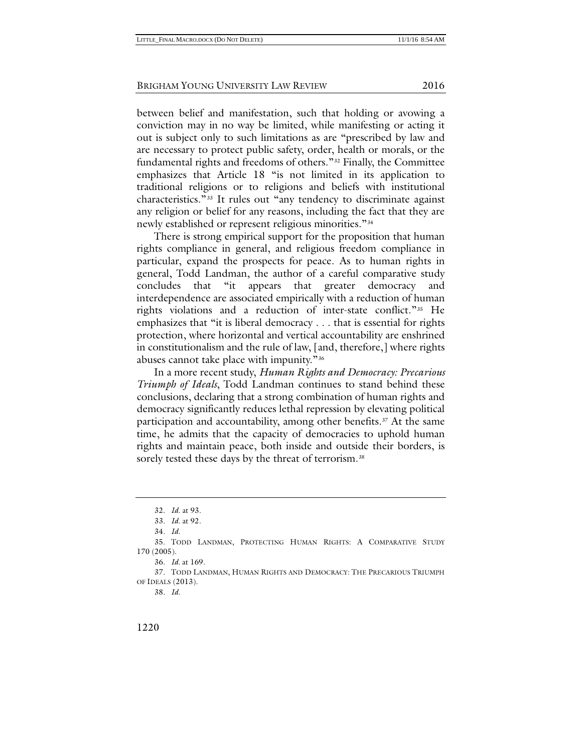between belief and manifestation, such that holding or avowing a conviction may in no way be limited, while manifesting or acting it out is subject only to such limitations as are "prescribed by law and are necessary to protect public safety, order, health or morals, or the fundamental rights and freedoms of others."[32](#page-6-0) Finally, the Committee emphasizes that Article 18 "is not limited in its application to traditional religions or to religions and beliefs with institutional characteristics."[33](#page-6-1) It rules out "any tendency to discriminate against any religion or belief for any reasons, including the fact that they are newly established or represent religious minorities."[34](#page-6-2)

There is strong empirical support for the proposition that human rights compliance in general, and religious freedom compliance in particular, expand the prospects for peace. As to human rights in general, Todd Landman, the author of a careful comparative study concludes that "it appears that greater democracy and interdependence are associated empirically with a reduction of human rights violations and a reduction of inter-state conflict."[35](#page-6-3) He emphasizes that "it is liberal democracy . . . that is essential for rights protection, where horizontal and vertical accountability are enshrined in constitutionalism and the rule of law, [and, therefore,] where rights abuses cannot take place with impunity."[36](#page-6-4)

In a more recent study, *Human Rights and Democracy: Precarious Triumph of Ideals*, Todd Landman continues to stand behind these conclusions, declaring that a strong combination of human rights and democracy significantly reduces lethal repression by elevating political participation and accountability, among other benefits.<sup>[37](#page-6-5)</sup> At the same time, he admits that the capacity of democracies to uphold human rights and maintain peace, both inside and outside their borders, is sorely tested these days by the threat of terrorism.<sup>[38](#page-6-6)</sup>

<sup>32.</sup> *Id.* at 93.

<sup>33.</sup> *Id.* at 92.

<sup>34.</sup> *Id.*

<span id="page-6-3"></span><span id="page-6-2"></span><span id="page-6-1"></span><span id="page-6-0"></span><sup>35.</sup> TODD LANDMAN, PROTECTING HUMAN RIGHTS: A COMPARATIVE STUDY 170 (2005).

<sup>36.</sup> *Id.* at 169.

<span id="page-6-6"></span><span id="page-6-5"></span><span id="page-6-4"></span><sup>37.</sup> TODD LANDMAN, HUMAN RIGHTS AND DEMOCRACY: THE PRECARIOUS TRIUMPH OF IDEALS (2013).

<sup>38.</sup> *Id.*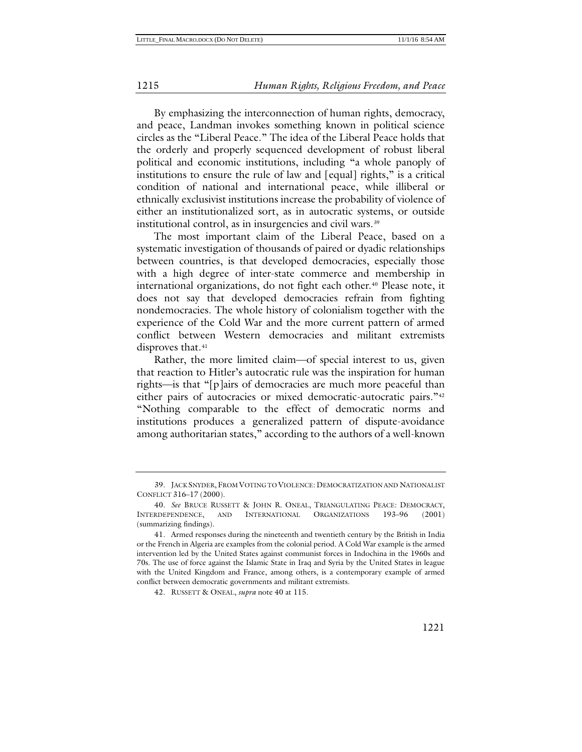By emphasizing the interconnection of human rights, democracy, and peace, Landman invokes something known in political science circles as the "Liberal Peace." The idea of the Liberal Peace holds that the orderly and properly sequenced development of robust liberal political and economic institutions, including "a whole panoply of institutions to ensure the rule of law and [equal] rights," is a critical condition of national and international peace, while illiberal or ethnically exclusivist institutions increase the probability of violence of either an institutionalized sort, as in autocratic systems, or outside institutional control, as in insurgencies and civil wars.<sup>[39](#page-7-1)</sup>

<span id="page-7-0"></span>The most important claim of the Liberal Peace, based on a systematic investigation of thousands of paired or dyadic relationships between countries, is that developed democracies, especially those with a high degree of inter-state commerce and membership in international organizations, do not fight each other.<sup>[40](#page-7-2)</sup> Please note, it does not say that developed democracies refrain from fighting nondemocracies. The whole history of colonialism together with the experience of the Cold War and the more current pattern of armed conflict between Western democracies and militant extremists disproves that.<sup>[41](#page-7-3)</sup>

Rather, the more limited claim—of special interest to us, given that reaction to Hitler's autocratic rule was the inspiration for human rights—is that "[p]airs of democracies are much more peaceful than either pairs of autocracies or mixed democratic-autocratic pairs."[42](#page-7-4) "Nothing comparable to the effect of democratic norms and institutions produces a generalized pattern of dispute-avoidance among authoritarian states," according to the authors of a well-known

<span id="page-7-1"></span><sup>39.</sup> JACK SNYDER, FROM VOTING TO VIOLENCE: DEMOCRATIZATION AND NATIONALIST CONFLICT 316–17 (2000).

<span id="page-7-2"></span><sup>40.</sup> *See* BRUCE RUSSETT & JOHN R. ONEAL, TRIANGULATING PEACE: DEMOCRACY, INTERDEPENDENCE, AND INTERNATIONAL ORGANIZATIONS 193–96 (2001) (summarizing findings).

<span id="page-7-4"></span><span id="page-7-3"></span><sup>41.</sup> Armed responses during the nineteenth and twentieth century by the British in India or the French in Algeria are examples from the colonial period. A Cold War example is the armed intervention led by the United States against communist forces in Indochina in the 1960s and 70s. The use of force against the Islamic State in Iraq and Syria by the United States in league with the United Kingdom and France, among others, is a contemporary example of armed conflict between democratic governments and militant extremists.

<sup>42.</sup> RUSSETT & ONEAL, *supra* not[e 40](#page-7-0) at 115.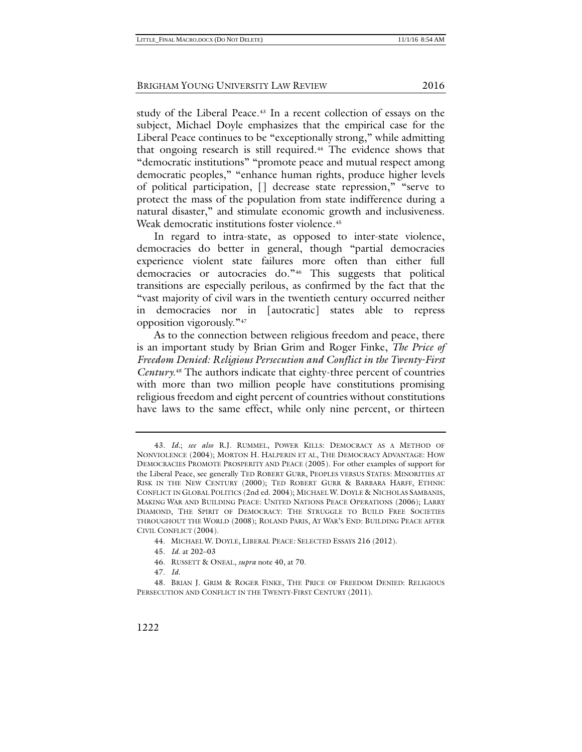study of the Liberal Peace.<sup>[43](#page-8-0)</sup> In a recent collection of essays on the subject, Michael Doyle emphasizes that the empirical case for the Liberal Peace continues to be "exceptionally strong," while admitting that ongoing research is still required.[44](#page-8-1) The evidence shows that "democratic institutions" "promote peace and mutual respect among democratic peoples," "enhance human rights, produce higher levels of political participation, [] decrease state repression," "serve to protect the mass of the population from state indifference during a natural disaster," and stimulate economic growth and inclusiveness. Weak democratic institutions foster violence.<sup>45</sup>

In regard to intra-state, as opposed to inter-state violence, democracies do better in general, though "partial democracies experience violent state failures more often than either full democracies or autocracies do."[46](#page-8-3) This suggests that political transitions are especially perilous, as confirmed by the fact that the "vast majority of civil wars in the twentieth century occurred neither in democracies nor in [autocratic] states able to repress opposition vigorously."[47](#page-8-4)

<span id="page-8-6"></span>As to the connection between religious freedom and peace, there is an important study by Brian Grim and Roger Finke, *The Price of Freedom Denied: Religious Persecution and Conflict in the Twenty-First Century.*[48](#page-8-5) The authors indicate that eighty-three percent of countries with more than two million people have constitutions promising religious freedom and eight percent of countries without constitutions have laws to the same effect, while only nine percent, or thirteen

<span id="page-8-0"></span><sup>43.</sup> *Id.*; *see also* R.J. RUMMEL, POWER KILLS: DEMOCRACY AS A METHOD OF NONVIOLENCE (2004); MORTON H. HALPERIN ET AL, THE DEMOCRACY ADVANTAGE: HOW DEMOCRACIES PROMOTE PROSPERITY AND PEACE (2005). For other examples of support for the Liberal Peace, see generally TED ROBERT GURR, PEOPLES VERSUS STATES: MINORITIES AT RISK IN THE NEW CENTURY (2000); TED ROBERT GURR & BARBARA HARFF, ETHNIC CONFLICT IN GLOBAL POLITICS (2nd ed. 2004); MICHAEL W. DOYLE & NICHOLAS SAMBANIS, MAKING WAR AND BUILDING PEACE: UNITED NATIONS PEACE OPERATIONS (2006); LARRY DIAMOND, THE SPIRIT OF DEMOCRACY: THE STRUGGLE TO BUILD FREE SOCIETIES THROUGHOUT THE WORLD (2008); ROLAND PARIS, AT WAR'S END: BUILDING PEACE AFTER CIVIL CONFLICT (2004).

<sup>44.</sup> MICHAEL W. DOYLE, LIBERAL PEACE: SELECTED ESSAYS 216 (2012).

<sup>45.</sup> *Id.* at 202–03

<sup>46.</sup> RUSSETT & ONEAL, *supra* not[e 40,](#page-7-0) at 70.

<sup>47.</sup> *Id.*

<span id="page-8-5"></span><span id="page-8-4"></span><span id="page-8-3"></span><span id="page-8-2"></span><span id="page-8-1"></span><sup>48.</sup> BRIAN J. GRIM & ROGER FINKE, THE PRICE OF FREEDOM DENIED: RELIGIOUS PERSECUTION AND CONFLICT IN THE TWENTY-FIRST CENTURY (2011).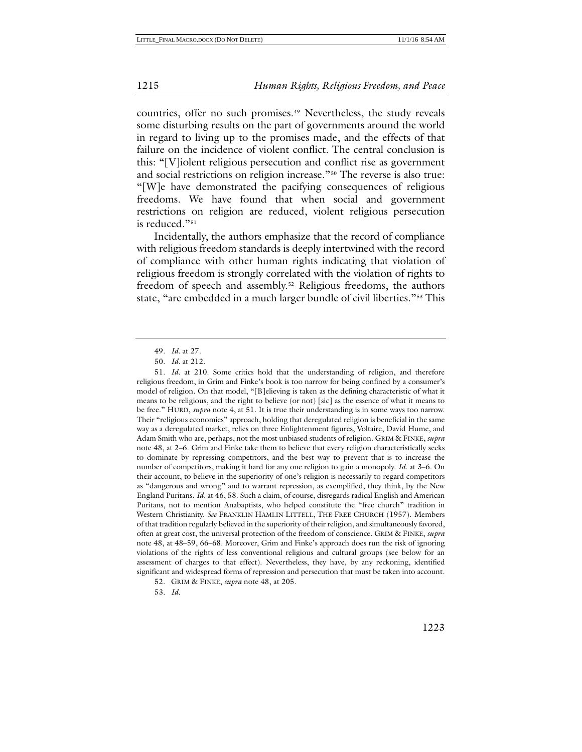countries, offer no such promises.<sup>[49](#page-9-0)</sup> Nevertheless, the study reveals some disturbing results on the part of governments around the world in regard to living up to the promises made, and the effects of that failure on the incidence of violent conflict. The central conclusion is this: "[V]iolent religious persecution and conflict rise as government and social restrictions on religion increase."[50](#page-9-1) The reverse is also true: "[W]e have demonstrated the pacifying consequences of religious freedoms. We have found that when social and government restrictions on religion are reduced, violent religious persecution is reduced."[51](#page-9-2)

Incidentally, the authors emphasize that the record of compliance with religious freedom standards is deeply intertwined with the record of compliance with other human rights indicating that violation of religious freedom is strongly correlated with the violation of rights to freedom of speech and assembly.[52](#page-9-3) Religious freedoms, the authors state, "are embedded in a much larger bundle of civil liberties."[53](#page-9-4) This

<span id="page-9-4"></span><span id="page-9-3"></span>52. GRIM & FINKE, *supra* not[e 48,](#page-8-6) at 205.

53. *Id.*

<span id="page-9-5"></span><sup>49.</sup> *Id.* at 27.

<sup>50.</sup> *Id.* at 212.

<span id="page-9-2"></span><span id="page-9-1"></span><span id="page-9-0"></span><sup>51.</sup> *Id.* at 210. Some critics hold that the understanding of religion, and therefore religious freedom, in Grim and Finke's book is too narrow for being confined by a consumer's model of religion. On that model, "[B]elieving is taken as the defining characteristic of what it means to be religious, and the right to believe (or not) [sic] as the essence of what it means to be free." HURD, *supra* not[e 4,](#page-1-9) at 51. It is true their understanding is in some ways too narrow. Their "religious economies" approach, holding that deregulated religion is beneficial in the same way as a deregulated market, relies on three Enlightenment figures, Voltaire, David Hume, and Adam Smith who are, perhaps, not the most unbiased students of religion. GRIM & FINKE, *supra* not[e 48,](#page-8-6) at 2–6. Grim and Finke take them to believe that every religion characteristically seeks to dominate by repressing competitors, and the best way to prevent that is to increase the number of competitors, making it hard for any one religion to gain a monopoly. *Id.* at 3–6. On their account, to believe in the superiority of one's religion is necessarily to regard competitors as "dangerous and wrong" and to warrant repression, as exemplified, they think, by the New England Puritans. *Id.* at 46, 58. Such a claim, of course, disregards radical English and American Puritans, not to mention Anabaptists, who helped constitute the "free church" tradition in Western Christianity. *See* FRANKLIN HAMLIN LITTELL, THE FREE CHURCH (1957). Members of that tradition regularly believed in the superiority of their religion, and simultaneously favored, often at great cost, the universal protection of the freedom of conscience. GRIM & FINKE, *supra* not[e 48,](#page-8-6) at 48–59, 66–68. Moreover, Grim and Finke's approach does run the risk of ignoring violations of the rights of less conventional religious and cultural groups (see below for an assessment of charges to that effect). Nevertheless, they have, by any reckoning, identified significant and widespread forms of repression and persecution that must be taken into account.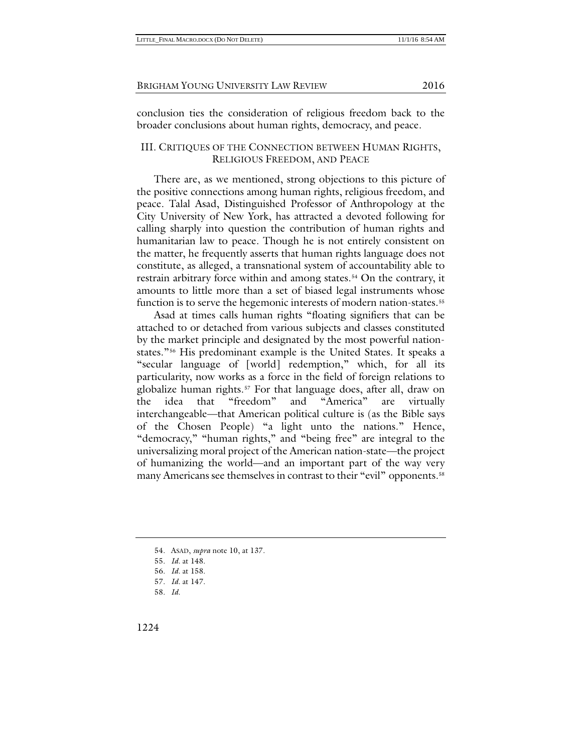conclusion ties the consideration of religious freedom back to the broader conclusions about human rights, democracy, and peace.

#### III. CRITIQUES OF THE CONNECTION BETWEEN HUMAN RIGHTS, RELIGIOUS FREEDOM, AND PEACE

There are, as we mentioned, strong objections to this picture of the positive connections among human rights, religious freedom, and peace. Talal Asad, Distinguished Professor of Anthropology at the City University of New York, has attracted a devoted following for calling sharply into question the contribution of human rights and humanitarian law to peace*.* Though he is not entirely consistent on the matter, he frequently asserts that human rights language does not constitute, as alleged, a transnational system of accountability able to restrain arbitrary force within and among states.<sup>[54](#page-10-0)</sup> On the contrary, it amounts to little more than a set of biased legal instruments whose function is to serve the hegemonic interests of modern nation-states.<sup>[55](#page-10-1)</sup>

Asad at times calls human rights "floating signifiers that can be attached to or detached from various subjects and classes constituted by the market principle and designated by the most powerful nationstates."[56](#page-10-2) His predominant example is the United States. It speaks a "secular language of [world] redemption," which, for all its particularity, now works as a force in the field of foreign relations to globalize human rights.[57](#page-10-3) For that language does, after all, draw on the idea that "freedom" and "America" are virtually interchangeable—that American political culture is (as the Bible says of the Chosen People) "a light unto the nations." Hence, "democracy," "human rights," and "being free" are integral to the universalizing moral project of the American nation-state—the project of humanizing the world—and an important part of the way very many Americans see themselves in contrast to their "evil" opponents.<sup>[58](#page-10-4)</sup>

<sup>54.</sup> ASAD, *supra* not[e 10,](#page-2-10) at 137.

<sup>55.</sup> *Id.* at 148.

<span id="page-10-4"></span><span id="page-10-3"></span><span id="page-10-2"></span><span id="page-10-1"></span><span id="page-10-0"></span><sup>56.</sup> *Id.* at 158.

<sup>57.</sup> *Id.* at 147.

<sup>58.</sup> *Id*.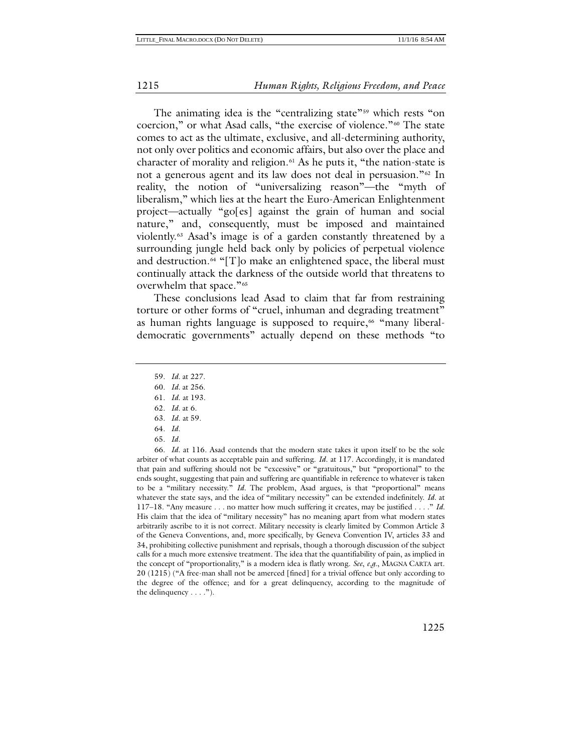The animating idea is the "centralizing state"<sup>[59](#page-11-0)</sup> which rests "on coercion," or what Asad calls, "the exercise of violence."[60](#page-11-1) The state comes to act as the ultimate, exclusive, and all-determining authority, not only over politics and economic affairs, but also over the place and character of morality and religion.[61](#page-11-2) As he puts it, "the nation-state is not a generous agent and its law does not deal in persuasion."<sup>[62](#page-11-3)</sup> In reality, the notion of "universalizing reason"—the "myth of liberalism," which lies at the heart the Euro-American Enlightenment project—actually "go[es] against the grain of human and social nature," and, consequently, must be imposed and maintained violently.[63](#page-11-4) Asad's image is of a garden constantly threatened by a surrounding jungle held back only by policies of perpetual violence and destruction. $64$  "[T]o make an enlightened space, the liberal must continually attack the darkness of the outside world that threatens to overwhelm that space."[65](#page-11-6)

These conclusions lead Asad to claim that far from restraining torture or other forms of "cruel, inhuman and degrading treatment" as human rights language is supposed to require,<sup>[66](#page-11-7)</sup> "many liberaldemocratic governments" actually depend on these methods "to

64. *Id*.

65. *Id.*

<span id="page-11-7"></span><span id="page-11-6"></span><span id="page-11-5"></span><span id="page-11-4"></span><span id="page-11-3"></span><span id="page-11-2"></span><span id="page-11-1"></span>66. *Id.* at 116. Asad contends that the modern state takes it upon itself to be the sole arbiter of what counts as acceptable pain and suffering. *Id*. at 117. Accordingly, it is mandated that pain and suffering should not be "excessive" or "gratuitous," but "proportional" to the ends sought, suggesting that pain and suffering are quantifiable in reference to whatever is taken to be a "military necessity." *Id*. The problem, Asad argues, is that "proportional" means whatever the state says, and the idea of "military necessity" can be extended indefinitely. *Id*. at 117–18. "Any measure . . . no matter how much suffering it creates, may be justified . . . ." *Id.* His claim that the idea of "military necessity" has no meaning apart from what modern states arbitrarily ascribe to it is not correct. Military necessity is clearly limited by Common Article 3 of the Geneva Conventions, and, more specifically, by Geneva Convention IV, articles 33 and 34, prohibiting collective punishment and reprisals, though a thorough discussion of the subject calls for a much more extensive treatment. The idea that the quantifiability of pain, as implied in the concept of "proportionality," is a modern idea is flatly wrong. *See*, *e.g.*, MAGNA CARTA art. 20 (1215) ("A free-man shall not be amerced [fined] for a trivial offence but only according to the degree of the offence; and for a great delinquency, according to the magnitude of the delinquency  $\dots$ .").

<sup>59.</sup> *Id.* at 227.

<span id="page-11-0"></span><sup>60.</sup> *Id.* at 256.

<sup>61.</sup> *Id*. at 193. 62. *Id.* at 6.

<sup>63.</sup> *Id*. at 59.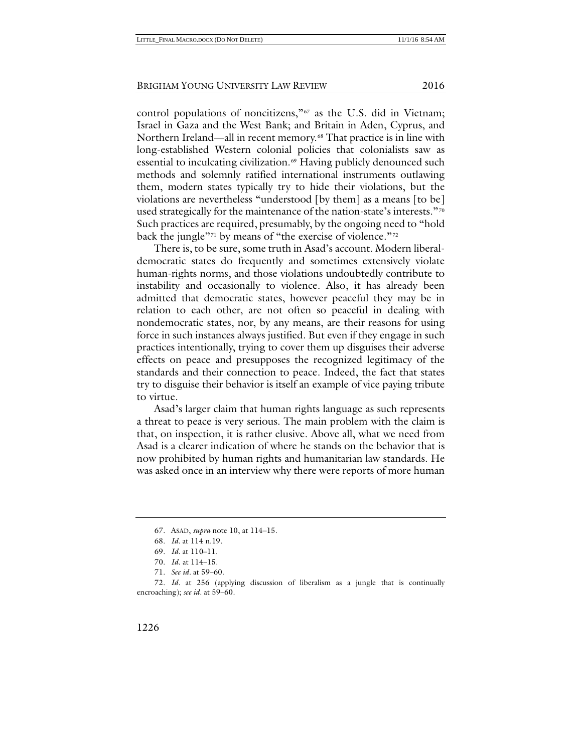control populations of noncitizens,"[67](#page-12-0) as the U.S. did in Vietnam; Israel in Gaza and the West Bank; and Britain in Aden, Cyprus, and Northern Ireland—all in recent memory.<sup>[68](#page-12-1)</sup> That practice is in line with long-established Western colonial policies that colonialists saw as essential to inculcating civilization.<sup>[69](#page-12-2)</sup> Having publicly denounced such methods and solemnly ratified international instruments outlawing them, modern states typically try to hide their violations, but the violations are nevertheless "understood [by them] as a means [to be] used strategically for the maintenance of the nation-state's interests."[70](#page-12-3) Such practices are required, presumably, by the ongoing need to "hold back the jungle"<sup>[71](#page-12-4)</sup> by means of "the exercise of violence."<sup>[72](#page-12-5)</sup>

There is, to be sure, some truth in Asad's account. Modern liberaldemocratic states do frequently and sometimes extensively violate human-rights norms, and those violations undoubtedly contribute to instability and occasionally to violence. Also, it has already been admitted that democratic states, however peaceful they may be in relation to each other, are not often so peaceful in dealing with nondemocratic states, nor, by any means, are their reasons for using force in such instances always justified. But even if they engage in such practices intentionally, trying to cover them up disguises their adverse effects on peace and presupposes the recognized legitimacy of the standards and their connection to peace. Indeed, the fact that states try to disguise their behavior is itself an example of vice paying tribute to virtue.

Asad's larger claim that human rights language as such represents a threat to peace is very serious. The main problem with the claim is that, on inspection, it is rather elusive. Above all, what we need from Asad is a clearer indication of where he stands on the behavior that is now prohibited by human rights and humanitarian law standards. He was asked once in an interview why there were reports of more human

<sup>67.</sup> ASAD, *supra* not[e 10,](#page-2-10) at 114–15.

<sup>68.</sup> *Id.* at 114 n.19.

<sup>69.</sup> *Id.* at 110–11.

<sup>70.</sup> *Id*. at 114–15.

 <sup>71.</sup> *See id.* at 59–60.

<span id="page-12-5"></span><span id="page-12-4"></span><span id="page-12-3"></span><span id="page-12-2"></span><span id="page-12-1"></span><span id="page-12-0"></span><sup>72.</sup> *Id.* at 256 (applying discussion of liberalism as a jungle that is continually encroaching); *see id.* at 59–60.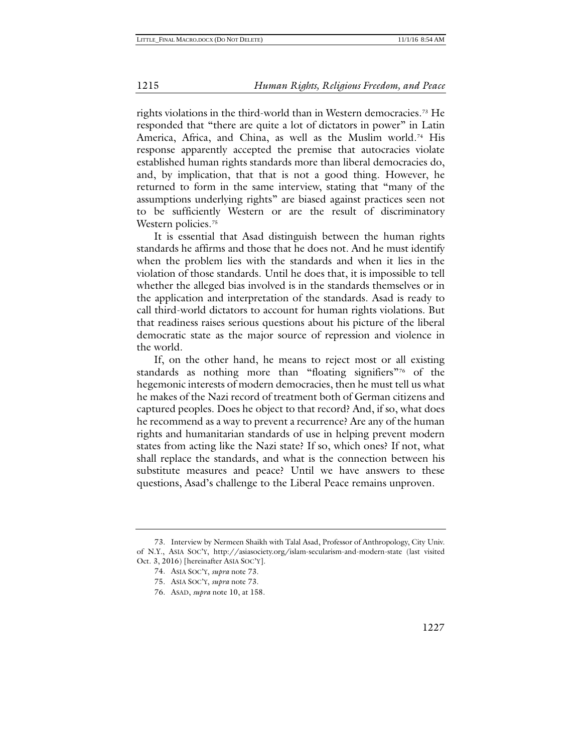<span id="page-13-0"></span>rights violations in the third-world than in Western democracies.[73](#page-13-1) He responded that "there are quite a lot of dictators in power" in Latin America, Africa, and China, as well as the Muslim world.<sup>[74](#page-13-2)</sup> His response apparently accepted the premise that autocracies violate established human rights standards more than liberal democracies do, and, by implication, that that is not a good thing. However, he returned to form in the same interview, stating that "many of the assumptions underlying rights" are biased against practices seen not to be sufficiently Western or are the result of discriminatory Western policies.<sup>[75](#page-13-3)</sup>

It is essential that Asad distinguish between the human rights standards he affirms and those that he does not. And he must identify when the problem lies with the standards and when it lies in the violation of those standards. Until he does that, it is impossible to tell whether the alleged bias involved is in the standards themselves or in the application and interpretation of the standards. Asad is ready to call third-world dictators to account for human rights violations. But that readiness raises serious questions about his picture of the liberal democratic state as the major source of repression and violence in the world.

If, on the other hand, he means to reject most or all existing standards as nothing more than "floating signifiers"[76](#page-13-4) of the hegemonic interests of modern democracies, then he must tell us what he makes of the Nazi record of treatment both of German citizens and captured peoples. Does he object to that record? And, if so, what does he recommend as a way to prevent a recurrence? Are any of the human rights and humanitarian standards of use in helping prevent modern states from acting like the Nazi state? If so, which ones? If not, what shall replace the standards, and what is the connection between his substitute measures and peace? Until we have answers to these questions, Asad's challenge to the Liberal Peace remains unproven.

<span id="page-13-4"></span><span id="page-13-3"></span><span id="page-13-2"></span><span id="page-13-1"></span><sup>73.</sup> Interview by Nermeen Shaikh with Talal Asad, Professor of Anthropology, City Univ. of N.Y., ASIA SOC'Y, http://asiasociety.org/islam-secularism-and-modern-state (last visited Oct. 3, 2016) [hereinafter ASIA SOC'Y].

<sup>74.</sup> ASIA SOC'Y, *supra* note [73.](#page-13-0)

<sup>75.</sup> ASIA SOC'Y, *supra* note [73.](#page-13-0)

<sup>76.</sup> ASAD, *supra* not[e 10,](#page-2-10) at 158.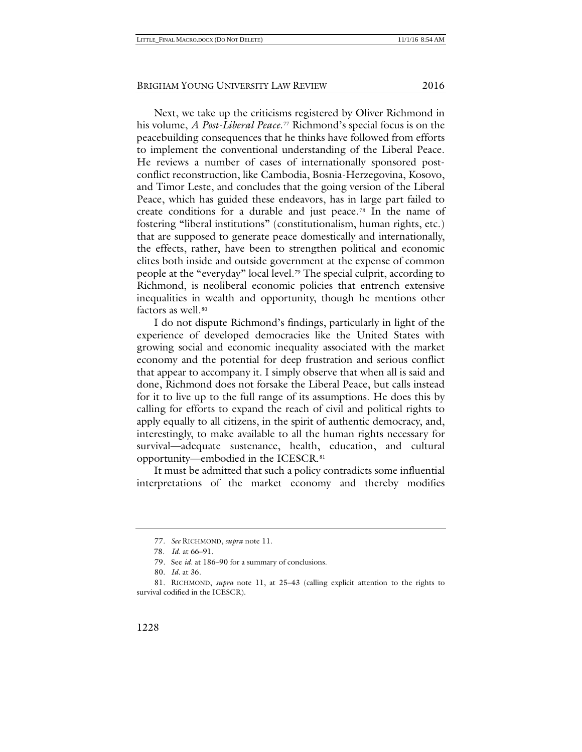<span id="page-14-5"></span>Next, we take up the criticisms registered by Oliver Richmond in his volume, *A Post-Liberal Peace*.[77](#page-14-0) Richmond's special focus is on the peacebuilding consequences that he thinks have followed from efforts to implement the conventional understanding of the Liberal Peace. He reviews a number of cases of internationally sponsored postconflict reconstruction, like Cambodia, Bosnia-Herzegovina, Kosovo, and Timor Leste, and concludes that the going version of the Liberal Peace, which has guided these endeavors, has in large part failed to create conditions for a durable and just peace.[78](#page-14-1) In the name of fostering "liberal institutions" (constitutionalism, human rights, etc.) that are supposed to generate peace domestically and internationally, the effects, rather, have been to strengthen political and economic elites both inside and outside government at the expense of common people at the "everyday" local level.[79](#page-14-2) The special culprit, according to Richmond, is neoliberal economic policies that entrench extensive inequalities in wealth and opportunity, though he mentions other factors as well.<sup>[80](#page-14-3)</sup>

I do not dispute Richmond's findings, particularly in light of the experience of developed democracies like the United States with growing social and economic inequality associated with the market economy and the potential for deep frustration and serious conflict that appear to accompany it. I simply observe that when all is said and done, Richmond does not forsake the Liberal Peace, but calls instead for it to live up to the full range of its assumptions. He does this by calling for efforts to expand the reach of civil and political rights to apply equally to all citizens, in the spirit of authentic democracy, and, interestingly, to make available to all the human rights necessary for survival—adequate sustenance, health, education, and cultural opportunity—embodied in the ICESCR.[81](#page-14-4)

<span id="page-14-6"></span>It must be admitted that such a policy contradicts some influential interpretations of the market economy and thereby modifies

<sup>77.</sup> *See* RICHMOND, *supra* not[e 11.](#page-2-11)

<sup>78.</sup> *Id.* at 66–91.

<sup>79.</sup> See *id.* at 186–90 for a summary of conclusions.

<sup>80.</sup> *Id.* at 36.

<span id="page-14-4"></span><span id="page-14-3"></span><span id="page-14-2"></span><span id="page-14-1"></span><span id="page-14-0"></span><sup>81.</sup> RICHMOND, *supra* note [11,](#page-2-11) at 25–43 (calling explicit attention to the rights to survival codified in the ICESCR).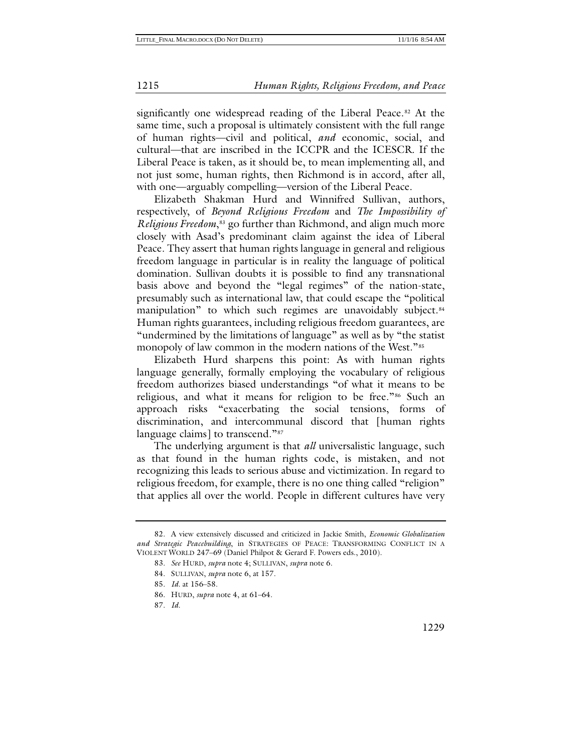significantly one widespread reading of the Liberal Peace.<sup>[82](#page-15-0)</sup> At the same time, such a proposal is ultimately consistent with the full range of human rights—civil and political, *and* economic, social, and cultural—that are inscribed in the ICCPR and the ICESCR. If the Liberal Peace is taken, as it should be, to mean implementing all, and not just some, human rights, then Richmond is in accord, after all, with one—arguably compelling—version of the Liberal Peace.

Elizabeth Shakman Hurd and Winnifred Sullivan, authors, respectively, of *Beyond Religious Freedom* and *The Impossibility of Religious Freedom*,<sup>[83](#page-15-1)</sup> go further than Richmond, and align much more closely with Asad's predominant claim against the idea of Liberal Peace. They assert that human rights language in general and religious freedom language in particular is in reality the language of political domination. Sullivan doubts it is possible to find any transnational basis above and beyond the "legal regimes" of the nation-state, presumably such as international law, that could escape the "political manipulation" to which such regimes are unavoidably subject.<sup>[84](#page-15-2)</sup> Human rights guarantees, including religious freedom guarantees, are "undermined by the limitations of language" as well as by "the statist monopoly of law common in the modern nations of the West."[85](#page-15-3)

Elizabeth Hurd sharpens this point: As with human rights language generally, formally employing the vocabulary of religious freedom authorizes biased understandings "of what it means to be religious, and what it means for religion to be free."[86](#page-15-4) Such an approach risks "exacerbating the social tensions, forms of discrimination, and intercommunal discord that [human rights language claims] to transcend."<sup>[87](#page-15-5)</sup>

The underlying argument is that *all* universalistic language, such as that found in the human rights code, is mistaken, and not recognizing this leads to serious abuse and victimization. In regard to religious freedom, for example, there is no one thing called "religion" that applies all over the world. People in different cultures have very

<span id="page-15-4"></span><span id="page-15-3"></span><span id="page-15-2"></span><span id="page-15-1"></span><span id="page-15-0"></span><sup>82.</sup> A view extensively discussed and criticized in Jackie Smith, *Economic Globalization and Strategic Peacebuilding*, in STRATEGIES OF PEACE: TRANSFORMING CONFLICT IN A VIOLENT WORLD 247–69 (Daniel Philpot & Gerard F. Powers eds., 2010).

<sup>83.</sup> *See* HURD, *supra* note [4;](#page-1-9) SULLIVAN, *supra* not[e 6.](#page-1-7)

<sup>84.</sup> SULLIVAN, *supra* note [6,](#page-1-7) at 157.

<sup>85.</sup> *Id.* at 156–58.

<sup>86.</sup> HURD, *supra* note [4,](#page-1-9) at 61–64.

<span id="page-15-5"></span><sup>87.</sup> *Id.*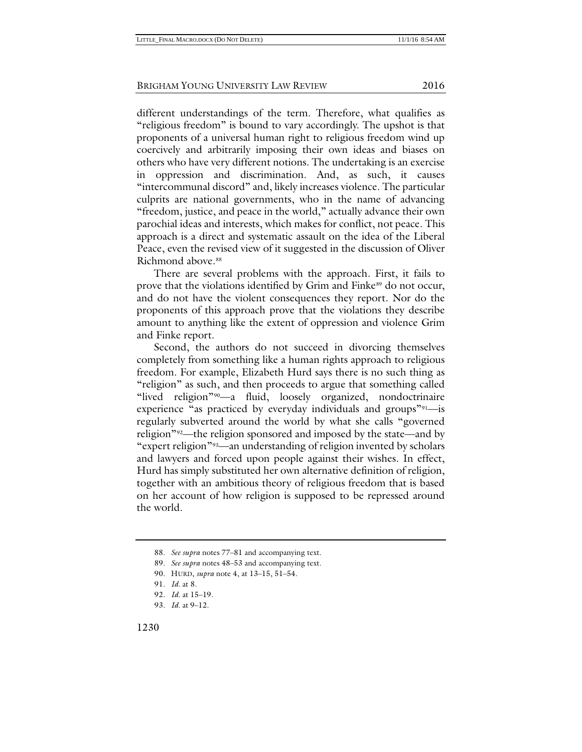different understandings of the term. Therefore, what qualifies as "religious freedom" is bound to vary accordingly. The upshot is that proponents of a universal human right to religious freedom wind up coercively and arbitrarily imposing their own ideas and biases on others who have very different notions. The undertaking is an exercise in oppression and discrimination. And, as such, it causes "intercommunal discord" and, likely increases violence. The particular culprits are national governments, who in the name of advancing "freedom, justice, and peace in the world," actually advance their own parochial ideas and interests, which makes for conflict, not peace. This approach is a direct and systematic assault on the idea of the Liberal Peace, even the revised view of it suggested in the discussion of Oliver Richmond above.<sup>[88](#page-16-0)</sup>

There are several problems with the approach. First, it fails to prove that the violations identified by Grim and Finke<sup>[89](#page-16-1)</sup> do not occur, and do not have the violent consequences they report. Nor do the proponents of this approach prove that the violations they describe amount to anything like the extent of oppression and violence Grim and Finke report.

Second, the authors do not succeed in divorcing themselves completely from something like a human rights approach to religious freedom. For example, Elizabeth Hurd says there is no such thing as "religion" as such, and then proceeds to argue that something called "lived religion"[90—](#page-16-2)a fluid, loosely organized, nondoctrinaire experience "as practiced by everyday individuals and groups"<sup>[91](#page-16-3)</sup>—is regularly subverted around the world by what she calls "governed religion"[92](#page-16-4)—the religion sponsored and imposed by the state—and by "expert religion"[93](#page-16-5)—an understanding of religion invented by scholars and lawyers and forced upon people against their wishes. In effect, Hurd has simply substituted her own alternative definition of religion, together with an ambitious theory of religious freedom that is based on her account of how religion is supposed to be repressed around the world.

<span id="page-16-0"></span><sup>88.</sup> *See supra* note[s 77](#page-14-5)[–81](#page-14-6) and accompanying text.

<sup>89.</sup> *See supra* note[s 48](#page-8-6)[–53](#page-9-5) and accompanying text.

<span id="page-16-2"></span><span id="page-16-1"></span><sup>90.</sup> HURD, *supra* note [4,](#page-1-9) at 13–15, 51–54.

<sup>91.</sup> *Id.* at 8.

<span id="page-16-5"></span><span id="page-16-4"></span><span id="page-16-3"></span><sup>92.</sup> *Id.* at 15–19.

<sup>93.</sup> *Id.* at 9–12.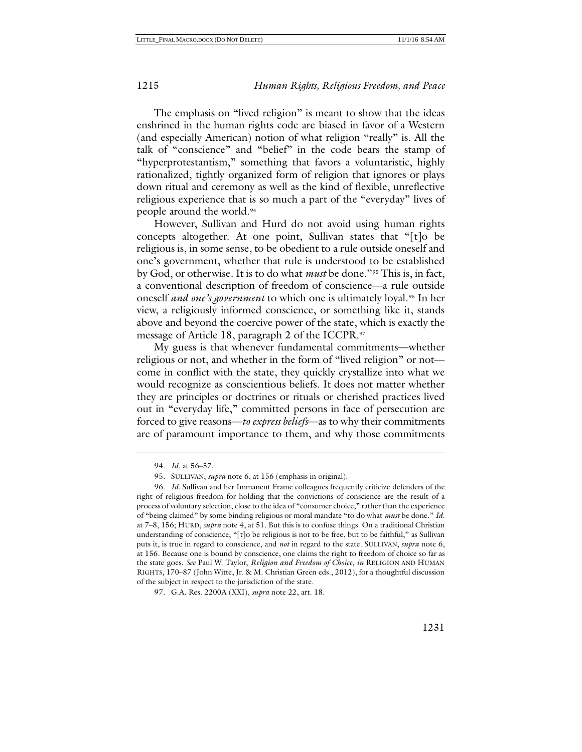The emphasis on "lived religion" is meant to show that the ideas enshrined in the human rights code are biased in favor of a Western (and especially American) notion of what religion "really" is. All the talk of "conscience" and "belief" in the code bears the stamp of "hyperprotestantism," something that favors a voluntaristic, highly rationalized, tightly organized form of religion that ignores or plays down ritual and ceremony as well as the kind of flexible, unreflective religious experience that is so much a part of the "everyday" lives of people around the world[.94](#page-17-0)

However, Sullivan and Hurd do not avoid using human rights concepts altogether. At one point, Sullivan states that "[t]o be religious is, in some sense, to be obedient to a rule outside oneself and one's government, whether that rule is understood to be established by God, or otherwise. It is to do what *must* be done."[95](#page-17-1) This is, in fact, a conventional description of freedom of conscience—a rule outside oneself *and one's government* to which one is ultimately loyal.<sup>[96](#page-17-2)</sup> In her view, a religiously informed conscience, or something like it, stands above and beyond the coercive power of the state, which is exactly the message of Article 18, paragraph 2 of the ICCPR.[97](#page-17-3)

My guess is that whenever fundamental commitments—whether religious or not, and whether in the form of "lived religion" or not come in conflict with the state, they quickly crystallize into what we would recognize as conscientious beliefs. It does not matter whether they are principles or doctrines or rituals or cherished practices lived out in "everyday life," committed persons in face of persecution are forced to give reasons—*to express beliefs*—as to why their commitments are of paramount importance to them, and why those commitments

<sup>94.</sup> *Id*. at 56–57.

<sup>95.</sup> SULLIVAN, *supra* note [6,](#page-1-7) at 156 (emphasis in original).

<span id="page-17-2"></span><span id="page-17-1"></span><span id="page-17-0"></span><sup>96.</sup> *Id.* Sullivan and her Immanent Frame colleagues frequently criticize defenders of the right of religious freedom for holding that the convictions of conscience are the result of a process of voluntary selection, close to the idea of "consumer choice," rather than the experience of "being claimed" by some binding religious or moral mandate "to do what *must* be done." *Id.*  at 7–8, 156; HURD, *supra* not[e 4,](#page-1-9) at 51. But this is to confuse things. On a traditional Christian understanding of conscience, "[t]o be religious is not to be free, but to be faithful," as Sullivan puts it, is true in regard to conscience, and *not* in regard to the state. SULLIVAN, *supra* note [6,](#page-1-7) at 156. Because one is bound by conscience, one claims the right to freedom of choice so far as the state goes. *See* Paul W. Taylor, *Religion and Freedom of Choice*, *in* RELIGION AND HUMAN RIGHTS, 170–87 (John Witte, Jr. & M. Christian Green eds., 2012), for a thoughtful discussion of the subject in respect to the jurisdiction of the state.

<span id="page-17-3"></span><sup>97.</sup> G.A. Res. 2200A (XXI), *supra* not[e 22,](#page-4-6) art. 18.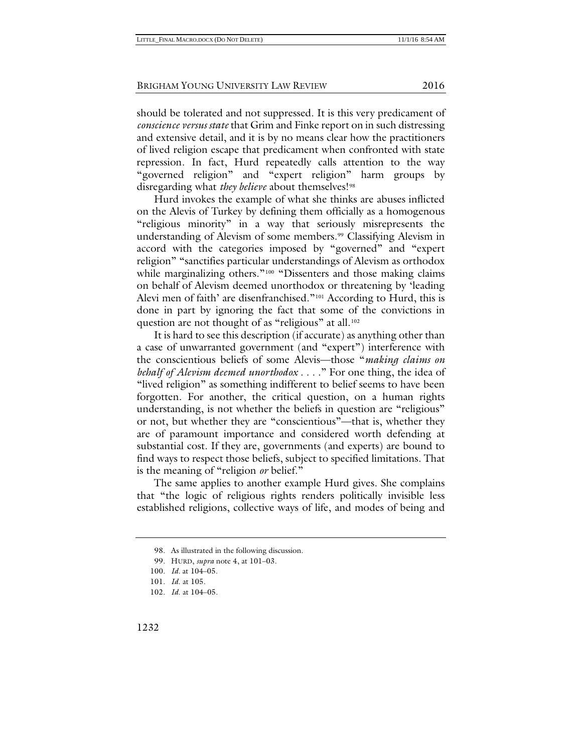should be tolerated and not suppressed. It is this very predicament of *conscience versus state* that Grim and Finke report on in such distressing and extensive detail, and it is by no means clear how the practitioners of lived religion escape that predicament when confronted with state repression. In fact, Hurd repeatedly calls attention to the way "governed religion" and "expert religion" harm groups by disregarding what *they believe* about themselves!<sup>[98](#page-18-0)</sup>

Hurd invokes the example of what she thinks are abuses inflicted on the Alevis of Turkey by defining them officially as a homogenous "religious minority" in a way that seriously misrepresents the understanding of Alevism of some members.<sup>99</sup> Classifying Alevism in accord with the categories imposed by "governed" and "expert religion" "sanctifies particular understandings of Alevism as orthodox while marginalizing others."<sup>[100](#page-18-2)</sup> "Dissenters and those making claims on behalf of Alevism deemed unorthodox or threatening by 'leading Alevi men of faith' are disenfranchised."[101](#page-18-3) According to Hurd, this is done in part by ignoring the fact that some of the convictions in question are not thought of as "religious" at all.<sup>[102](#page-18-4)</sup>

It is hard to see this description (if accurate) as anything other than a case of unwarranted government (and "expert") interference with the conscientious beliefs of some Alevis—those "*making claims on behalf of Alevism deemed unorthodox* . . . ." For one thing, the idea of "lived religion" as something indifferent to belief seems to have been forgotten. For another, the critical question, on a human rights understanding, is not whether the beliefs in question are "religious" or not, but whether they are "conscientious"—that is, whether they are of paramount importance and considered worth defending at substantial cost. If they are, governments (and experts) are bound to find ways to respect those beliefs, subject to specified limitations. That is the meaning of "religion *or* belief."

The same applies to another example Hurd gives. She complains that "the logic of religious rights renders politically invisible less established religions, collective ways of life, and modes of being and

<sup>98.</sup> As illustrated in the following discussion.

<sup>99.</sup> HURD, *supra* note [4,](#page-1-9) at 101–03.

<span id="page-18-2"></span><span id="page-18-1"></span><span id="page-18-0"></span><sup>100.</sup> *Id.* at 104–05.

<span id="page-18-4"></span><span id="page-18-3"></span><sup>101.</sup> *Id*. at 105.

<sup>102.</sup> *Id*. at 104–05.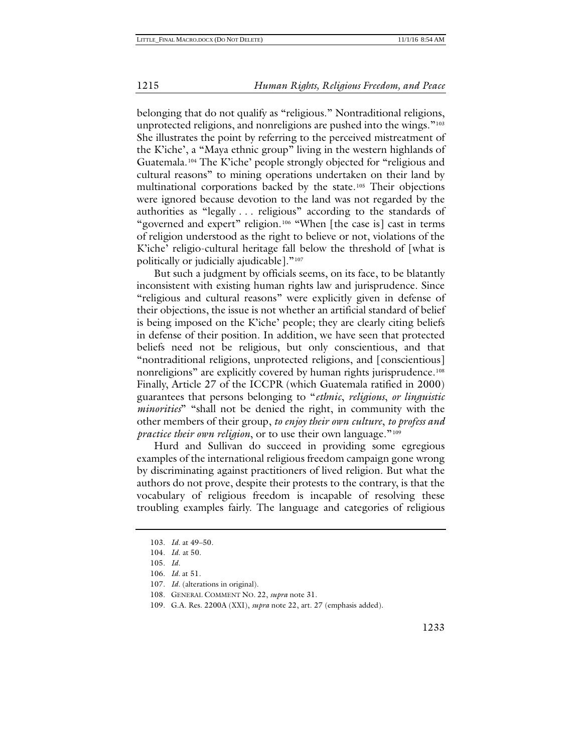belonging that do not qualify as "religious." Nontraditional religions, unprotected religions, and nonreligions are pushed into the wings."[103](#page-19-0) She illustrates the point by referring to the perceived mistreatment of the K'iche', a "Maya ethnic group" living in the western highlands of Guatemala.[104](#page-19-1) The K'iche' people strongly objected for "religious and cultural reasons" to mining operations undertaken on their land by multinational corporations backed by the state.[105](#page-19-2) Their objections were ignored because devotion to the land was not regarded by the authorities as "legally . . . religious" according to the standards of "governed and expert" religion.[106](#page-19-3) "When [the case is] cast in terms of religion understood as the right to believe or not, violations of the K'iche' religio-cultural heritage fall below the threshold of [what is politically or judicially ajudicable]."<sup>[107](#page-19-4)</sup>

But such a judgment by officials seems, on its face, to be blatantly inconsistent with existing human rights law and jurisprudence. Since "religious and cultural reasons" were explicitly given in defense of their objections, the issue is not whether an artificial standard of belief is being imposed on the K'iche' people; they are clearly citing beliefs in defense of their position. In addition, we have seen that protected beliefs need not be religious, but only conscientious, and that "nontraditional religions, unprotected religions, and [conscientious] nonreligions" are explicitly covered by human rights jurisprudence.<sup>[108](#page-19-5)</sup> Finally, Article 27 of the ICCPR (which Guatemala ratified in 2000) guarantees that persons belonging to "*ethnic*, *religious*, *or linguistic minorities*" "shall not be denied the right, in community with the other members of their group, *to enjoy their own culture*, *to profess and practice their own religion*, or to use their own language."<sup>[109](#page-19-6)</sup>

Hurd and Sullivan do succeed in providing some egregious examples of the international religious freedom campaign gone wrong by discriminating against practitioners of lived religion. But what the authors do not prove, despite their protests to the contrary, is that the vocabulary of religious freedom is incapable of resolving these troubling examples fairly. The language and categories of religious

<sup>103.</sup> *Id.* at 49–50.

<span id="page-19-1"></span><span id="page-19-0"></span><sup>104.</sup> *Id*. at 50.

<span id="page-19-2"></span><sup>105.</sup> *Id.*

<span id="page-19-3"></span><sup>106.</sup> *Id.* at 51.

<span id="page-19-4"></span><sup>107.</sup> *Id.* (alterations in original).

<span id="page-19-5"></span><sup>108.</sup> GENERAL COMMENT NO. 22, *supra* not[e 31.](#page-5-6)

<span id="page-19-6"></span><sup>109.</sup> G.A. Res. 2200A (XXI), *supra* not[e 22,](#page-4-6) art. 27 (emphasis added).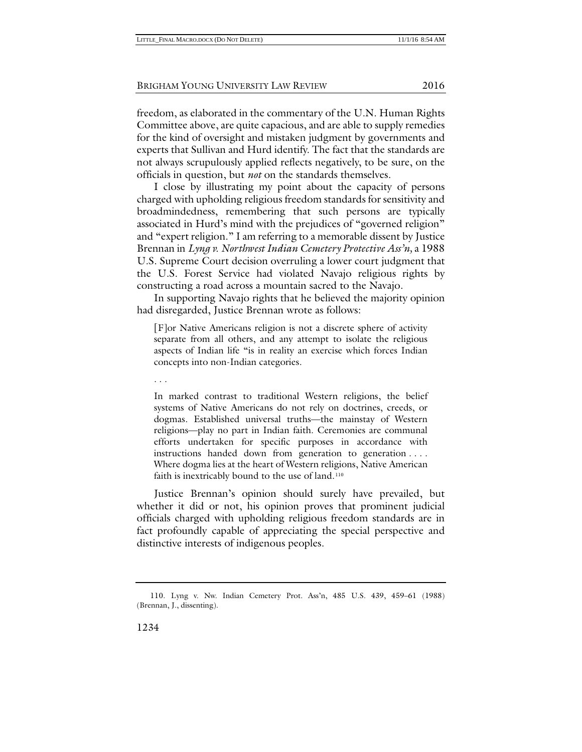freedom, as elaborated in the commentary of the U.N. Human Rights Committee above, are quite capacious, and are able to supply remedies for the kind of oversight and mistaken judgment by governments and experts that Sullivan and Hurd identify. The fact that the standards are not always scrupulously applied reflects negatively, to be sure, on the officials in question, but *not* on the standards themselves.

I close by illustrating my point about the capacity of persons charged with upholding religious freedom standards for sensitivity and broadmindedness, remembering that such persons are typically associated in Hurd's mind with the prejudices of "governed religion" and "expert religion." I am referring to a memorable dissent by Justice Brennan in *Lyng v. Northwest Indian Cemetery Protective Ass'n,* a 1988 U.S. Supreme Court decision overruling a lower court judgment that the U.S. Forest Service had violated Navajo religious rights by constructing a road across a mountain sacred to the Navajo.

In supporting Navajo rights that he believed the majority opinion had disregarded, Justice Brennan wrote as follows:

[F]or Native Americans religion is not a discrete sphere of activity separate from all others, and any attempt to isolate the religious aspects of Indian life "is in reality an exercise which forces Indian concepts into non-Indian categories.

. . .

In marked contrast to traditional Western religions, the belief systems of Native Americans do not rely on doctrines, creeds, or dogmas. Established universal truths—the mainstay of Western religions—play no part in Indian faith. Ceremonies are communal efforts undertaken for specific purposes in accordance with instructions handed down from generation to generation . . . . Where dogma lies at the heart of Western religions, Native American faith is inextricably bound to the use of land.<sup>[110](#page-20-0)</sup>

Justice Brennan's opinion should surely have prevailed, but whether it did or not, his opinion proves that prominent judicial officials charged with upholding religious freedom standards are in fact profoundly capable of appreciating the special perspective and distinctive interests of indigenous peoples.

<span id="page-20-0"></span><sup>110.</sup> Lyng v. Nw. Indian Cemetery Prot. Ass'n, 485 U.S. 439, 459–61 (1988) (Brennan, J., dissenting).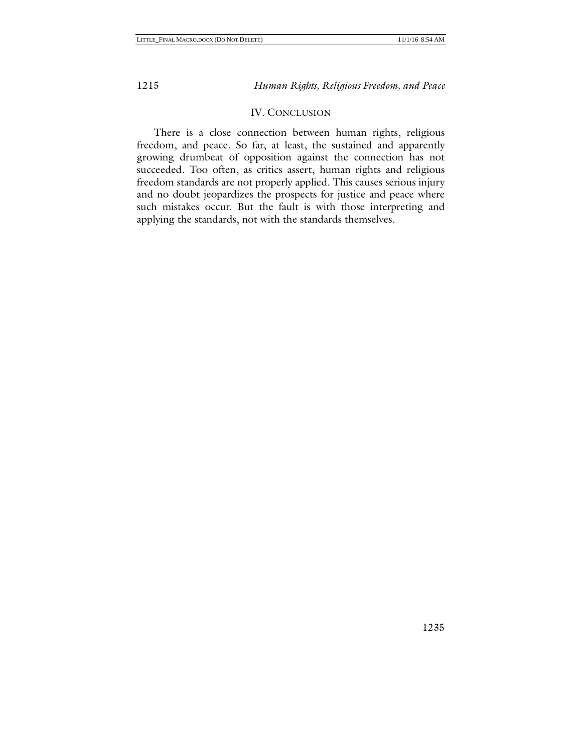#### IV. CONCLUSION

There is a close connection between human rights, religious freedom, and peace. So far, at least, the sustained and apparently growing drumbeat of opposition against the connection has not succeeded. Too often, as critics assert, human rights and religious freedom standards are not properly applied. This causes serious injury and no doubt jeopardizes the prospects for justice and peace where such mistakes occur. But the fault is with those interpreting and applying the standards, not with the standards themselves.